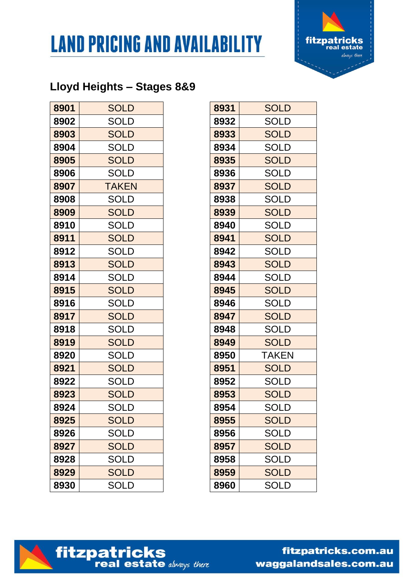



## **Lloyd Heights – Stages 8&9**

| 8901 | <b>SOLD</b>  | 8931 | <b>SOLD</b>  |
|------|--------------|------|--------------|
| 8902 | SOLD         | 8932 | SOLD         |
| 8903 | <b>SOLD</b>  | 8933 | <b>SOLD</b>  |
| 8904 | SOLD         | 8934 | <b>SOLD</b>  |
| 8905 | <b>SOLD</b>  | 8935 | <b>SOLD</b>  |
| 8906 | <b>SOLD</b>  | 8936 | <b>SOLD</b>  |
| 8907 | <b>TAKEN</b> | 8937 | <b>SOLD</b>  |
| 8908 | SOLD         | 8938 | <b>SOLD</b>  |
| 8909 | <b>SOLD</b>  | 8939 | <b>SOLD</b>  |
| 8910 | <b>SOLD</b>  | 8940 | SOLD         |
| 8911 | <b>SOLD</b>  | 8941 | <b>SOLD</b>  |
| 8912 | SOLD         | 8942 | <b>SOLD</b>  |
| 8913 | <b>SOLD</b>  | 8943 | <b>SOLD</b>  |
| 8914 | SOLD         | 8944 | <b>SOLD</b>  |
| 8915 | <b>SOLD</b>  | 8945 | <b>SOLD</b>  |
| 8916 | SOLD         | 8946 | <b>SOLD</b>  |
| 8917 | <b>SOLD</b>  | 8947 | <b>SOLD</b>  |
| 8918 | SOLD         | 8948 | <b>SOLD</b>  |
| 8919 | <b>SOLD</b>  | 8949 | <b>SOLD</b>  |
| 8920 | <b>SOLD</b>  | 8950 | <b>TAKEN</b> |
| 8921 | <b>SOLD</b>  | 8951 | <b>SOLD</b>  |
| 8922 | <b>SOLD</b>  | 8952 | <b>SOLD</b>  |
| 8923 | <b>SOLD</b>  | 8953 | <b>SOLD</b>  |
| 8924 | SOLD         | 8954 | SOLD         |
| 8925 | <b>SOLD</b>  | 8955 | <b>SOLD</b>  |
| 8926 | SOLD         | 8956 | <b>SOLD</b>  |
| 8927 | <b>SOLD</b>  | 8957 | <b>SOLD</b>  |
| 8928 | SOLD         | 8958 | <b>SOLD</b>  |
| 8929 | <b>SOLD</b>  | 8959 | <b>SOLD</b>  |
| 8930 | <b>SOLD</b>  | 8960 | <b>SOLD</b>  |

| 8931 | <b>SOLD</b>  |
|------|--------------|
| 8932 | SOLD         |
| 8933 | <b>SOLD</b>  |
| 8934 | <b>SOLD</b>  |
| 8935 | <b>SOLD</b>  |
| 8936 | <b>SOLD</b>  |
| 8937 | <b>SOLD</b>  |
| 8938 | <b>SOLD</b>  |
| 8939 | <b>SOLD</b>  |
| 8940 | <b>SOLD</b>  |
| 8941 | <b>SOLD</b>  |
| 8942 | <b>SOLD</b>  |
| 8943 | <b>SOLD</b>  |
| 8944 | <b>SOLD</b>  |
| 8945 | <b>SOLD</b>  |
| 8946 | SOLD         |
| 8947 | <b>SOLD</b>  |
| 8948 | <b>SOLD</b>  |
| 8949 | <b>SOLD</b>  |
| 8950 | <b>TAKEN</b> |
| 8951 | <b>SOLD</b>  |
| 8952 | <b>SOLD</b>  |
| 8953 | <b>SOLD</b>  |
| 8954 | SOLD         |
| 8955 | <b>SOLD</b>  |
| 8956 | SOLD         |
| 8957 | <b>SOLD</b>  |
| 8958 | <b>SOLD</b>  |
| 8959 | <b>SOLD</b>  |
| 8960 | <b>SOLD</b>  |